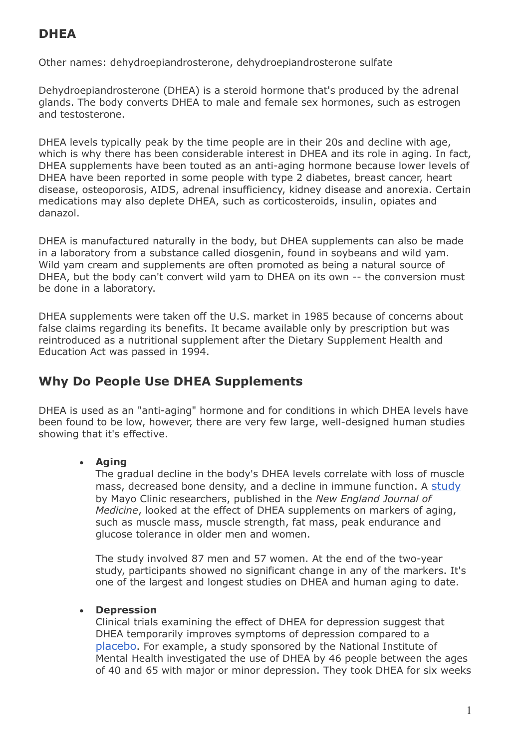# **DHEA**

Other names: dehydroepiandrosterone, dehydroepiandrosterone sulfate

Dehydroepiandrosterone (DHEA) is a steroid hormone that's produced by the adrenal glands. The body converts DHEA to male and female sex hormones, such as estrogen and testosterone.

DHEA levels typically peak by the time people are in their 20s and decline with age, which is why there has been considerable interest in DHEA and its role in aging. In fact, DHEA supplements have been touted as an anti-aging hormone because lower levels of DHEA have been reported in some people with type 2 diabetes, breast cancer, heart disease, osteoporosis, AIDS, adrenal insufficiency, kidney disease and anorexia. Certain medications may also deplete DHEA, such as corticosteroids, insulin, opiates and danazol.

DHEA is manufactured naturally in the body, but DHEA supplements can also be made in a laboratory from a substance called diosgenin, found in soybeans and wild yam. Wild yam cream and supplements are often promoted as being a natural source of DHEA, but the body can't convert wild yam to DHEA on its own -- the conversion must be done in a laboratory.

DHEA supplements were taken off the U.S. market in 1985 because of concerns about false claims regarding its benefits. It became available only by prescription but was reintroduced as a nutritional supplement after the Dietary Supplement Health and Education Act was passed in 1994.

# **Why Do People Use DHEA Supplements**

DHEA is used as an "anti-aging" hormone and for conditions in which DHEA levels have been found to be low, however, there are very few large, well-designed human studies showing that it's effective.

### **Aging**

The gradual decline in the body's DHEA levels correlate with loss of muscle mass, decreased bone density, and a decline in immune function. A [study](http://altmedicine.about.com/b/a/257688.htm) by Mayo Clinic researchers, published in the *New England Journal of Medicine*, looked at the effect of DHEA supplements on markers of aging, such as muscle mass, muscle strength, fat mass, peak endurance and glucose tolerance in older men and women.

The study involved 87 men and 57 women. At the end of the two-year study, participants showed no significant change in any of the markers. It's one of the largest and longest studies on DHEA and human aging to date.

### **Depression**

Clinical trials examining the effect of DHEA for depression suggest that DHEA temporarily improves symptoms of depression compared to a [placebo](http://altmedicine.about.com/od/alternativemedicinebasics/g/placebo.htm). For example, a study sponsored by the National Institute of Mental Health investigated the use of DHEA by 46 people between the ages of 40 and 65 with major or minor depression. They took DHEA for six weeks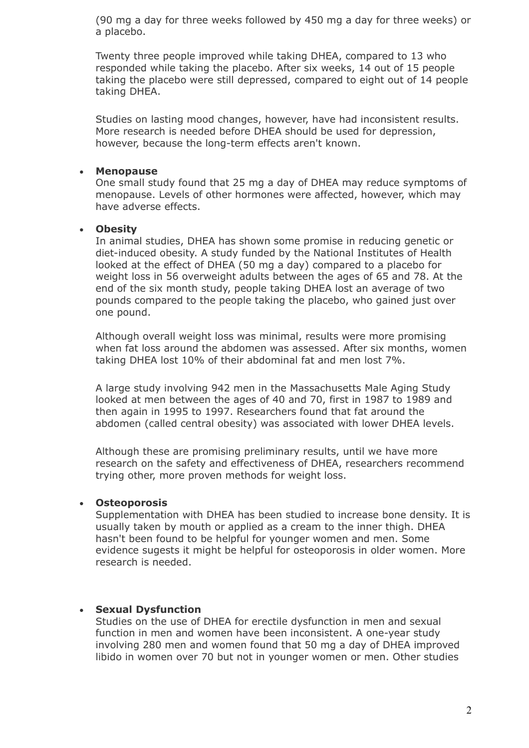(90 mg a day for three weeks followed by 450 mg a day for three weeks) or a placebo.

Twenty three people improved while taking DHEA, compared to 13 who responded while taking the placebo. After six weeks, 14 out of 15 people taking the placebo were still depressed, compared to eight out of 14 people taking DHEA.

Studies on lasting mood changes, however, have had inconsistent results. More research is needed before DHEA should be used for depression, however, because the long-term effects aren't known.

#### **Menopause**

One small study found that 25 mg a day of DHEA may reduce symptoms of menopause. Levels of other hormones were affected, however, which may have adverse effects.

#### **Obesity**

In animal studies, DHEA has shown some promise in reducing genetic or diet-induced obesity. A study funded by the National Institutes of Health looked at the effect of DHEA (50 mg a day) compared to a placebo for weight loss in 56 overweight adults between the ages of 65 and 78. At the end of the six month study, people taking DHEA lost an average of two pounds compared to the people taking the placebo, who gained just over one pound.

Although overall weight loss was minimal, results were more promising when fat loss around the abdomen was assessed. After six months, women taking DHEA lost 10% of their abdominal fat and men lost 7%.

A large study involving 942 men in the Massachusetts Male Aging Study looked at men between the ages of 40 and 70, first in 1987 to 1989 and then again in 1995 to 1997. Researchers found that fat around the abdomen (called central obesity) was associated with lower DHEA levels.

Although these are promising preliminary results, until we have more research on the safety and effectiveness of DHEA, researchers recommend trying other, more proven methods for weight loss.

#### **Osteoporosis**

Supplementation with DHEA has been studied to increase bone density. It is usually taken by mouth or applied as a cream to the inner thigh. DHEA hasn't been found to be helpful for younger women and men. Some evidence sugests it might be helpful for osteoporosis in older women. More research is needed.

#### **Sexual Dysfunction**

Studies on the use of DHEA for erectile dysfunction in men and sexual function in men and women have been inconsistent. A one-year study involving 280 men and women found that 50 mg a day of DHEA improved libido in women over 70 but not in younger women or men. Other studies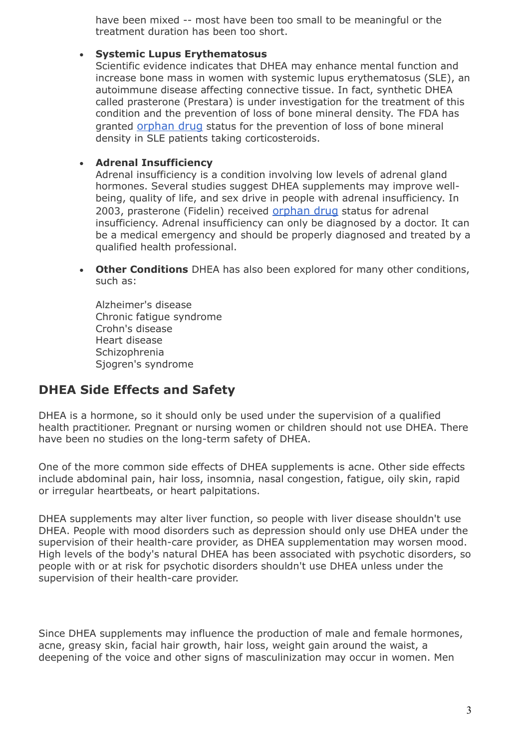have been mixed -- most have been too small to be meaningful or the treatment duration has been too short.

#### **Systemic Lupus Erythematosus**

Scientific evidence indicates that DHEA may enhance mental function and increase bone mass in women with systemic lupus erythematosus (SLE), an autoimmune disease affecting connective tissue. In fact, synthetic DHEA called prasterone (Prestara) is under investigation for the treatment of this condition and the prevention of loss of bone mineral density. The FDA has granted [orphan drug](http://rarediseases.about.com/od/rarediseaseso/a/orphandrug.htm) status for the prevention of loss of bone mineral density in SLE patients taking corticosteroids.

#### **Adrenal Insufficiency**

Adrenal insufficiency is a condition involving low levels of adrenal gland hormones. Several studies suggest DHEA supplements may improve wellbeing, quality of life, and sex drive in people with adrenal insufficiency. In 2003, prasterone (Fidelin) received [orphan drug](http://rarediseases.about.com/od/rarediseaseso/a/orphandrug.htm) status for adrenal insufficiency. Adrenal insufficiency can only be diagnosed by a doctor. It can be a medical emergency and should be properly diagnosed and treated by a qualified health professional.

 **Other Conditions** DHEA has also been explored for many other conditions, such as:

Alzheimer's disease Chronic fatigue syndrome Crohn's disease Heart disease **Schizophrenia** Sjogren's syndrome

## **DHEA Side Effects and Safety**

DHEA is a hormone, so it should only be used under the supervision of a qualified health practitioner. Pregnant or nursing women or children should not use DHEA. There have been no studies on the long-term safety of DHEA.

One of the more common side effects of DHEA supplements is acne. Other side effects include abdominal pain, hair loss, insomnia, nasal congestion, fatigue, oily skin, rapid or irregular heartbeats, or heart palpitations.

DHEA supplements may alter liver function, so people with liver disease shouldn't use DHEA. People with mood disorders such as depression should only use DHEA under the supervision of their health-care provider, as DHEA supplementation may worsen mood. High levels of the body's natural DHEA has been associated with psychotic disorders, so people with or at risk for psychotic disorders shouldn't use DHEA unless under the supervision of their health-care provider.

Since DHEA supplements may influence the production of male and female hormones, acne, greasy skin, facial hair growth, hair loss, weight gain around the waist, a deepening of the voice and other signs of masculinization may occur in women. Men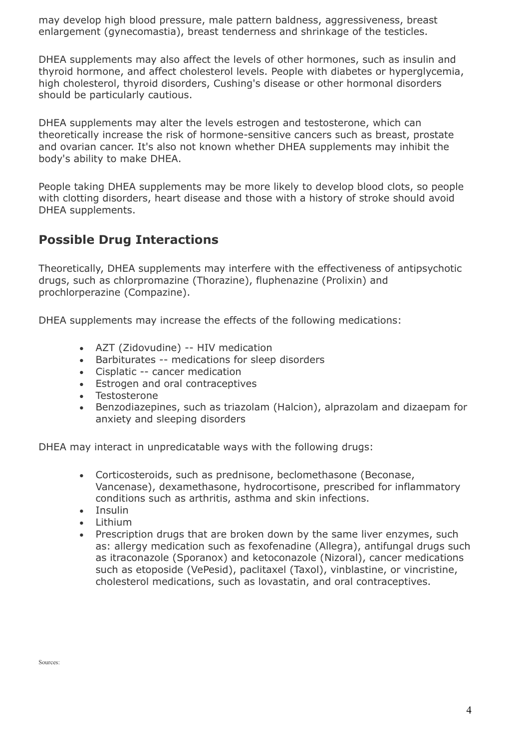may develop high blood pressure, male pattern baldness, aggressiveness, breast enlargement (gynecomastia), breast tenderness and shrinkage of the testicles.

DHEA supplements may also affect the levels of other hormones, such as insulin and thyroid hormone, and affect cholesterol levels. People with diabetes or hyperglycemia, high cholesterol, thyroid disorders, Cushing's disease or other hormonal disorders should be particularly cautious.

DHEA supplements may alter the levels estrogen and testosterone, which can theoretically increase the risk of hormone-sensitive cancers such as breast, prostate and ovarian cancer. It's also not known whether DHEA supplements may inhibit the body's ability to make DHEA.

People taking DHEA supplements may be more likely to develop blood clots, so people with clotting disorders, heart disease and those with a history of stroke should avoid DHEA supplements.

## **Possible Drug Interactions**

Theoretically, DHEA supplements may interfere with the effectiveness of antipsychotic drugs, such as chlorpromazine (Thorazine), fluphenazine (Prolixin) and prochlorperazine (Compazine).

DHEA supplements may increase the effects of the following medications:

- AZT (Zidovudine) -- HIV medication
- Barbiturates -- medications for sleep disorders
- Cisplatic -- cancer medication
- Estrogen and oral contraceptives
- Testosterone
- Benzodiazepines, such as triazolam (Halcion), alprazolam and dizaepam for anxiety and sleeping disorders

DHEA may interact in unpredicatable ways with the following drugs:

- Corticosteroids, such as prednisone, beclomethasone (Beconase, Vancenase), dexamethasone, hydrocortisone, prescribed for inflammatory conditions such as arthritis, asthma and skin infections.
- Insulin
- $\bullet$  lithium
- Prescription drugs that are broken down by the same liver enzymes, such as: allergy medication such as fexofenadine (Allegra), antifungal drugs such as itraconazole (Sporanox) and ketoconazole (Nizoral), cancer medications such as etoposide (VePesid), paclitaxel (Taxol), vinblastine, or vincristine, cholesterol medications, such as lovastatin, and oral contraceptives.